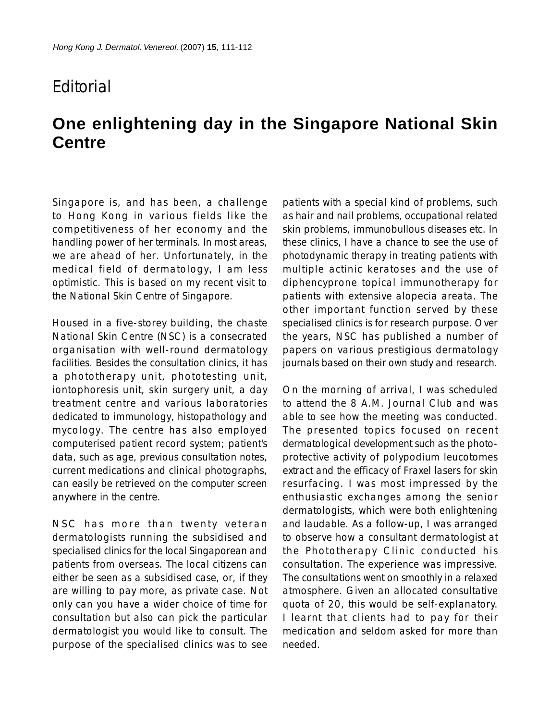## **F**ditorial

## **One enlightening day in the Singapore National Skin Centre**

Singapore is, and has been, a challenge to Hong Kong in various fields like the competitiveness of her economy and the handling power of her terminals. In most areas, we are ahead of her. Unfortunately, in the medical field of dermatology, I am less optimistic. This is based on my recent visit to the National Skin Centre of Singapore.

Housed in a five-storey building, the chaste National Skin Centre (NSC) is a consecrated organisation with well-round dermatology facilities. Besides the consultation clinics, it has a phototherapy unit, phototesting unit, iontophoresis unit, skin surgery unit, a day treatment centre and various laboratories dedicated to immunology, histopathology and mycology. The centre has also employed computerised patient record system; patient's data, such as age, previous consultation notes, current medications and clinical photographs, can easily be retrieved on the computer screen anywhere in the centre.

NSC has more than twenty veteran dermatologists running the subsidised and specialised clinics for the local Singaporean and patients from overseas. The local citizens can either be seen as a subsidised case, or, if they are willing to pay more, as private case. Not only can you have a wider choice of time for consultation but also can pick the particular dermatologist you would like to consult. The purpose of the specialised clinics was to see patients with a special kind of problems, such as hair and nail problems, occupational related skin problems, immunobullous diseases etc. In these clinics, I have a chance to see the use of photodynamic therapy in treating patients with multiple actinic keratoses and the use of diphencyprone topical immunotherapy for patients with extensive alopecia areata. The other important function served by these specialised clinics is for research purpose. Over the years, NSC has published a number of papers on various prestigious dermatology journals based on their own study and research.

On the morning of arrival, I was scheduled to attend the 8 A.M. Journal Club and was able to see how the meeting was conducted. The presented topics focused on recent dermatological development such as the photoprotective activity of polypodium leucotomes extract and the efficacy of Fraxel lasers for skin resurfacing. I was most impressed by the enthusiastic exchanges among the senior dermatologists, which were both enlightening and laudable. As a follow-up, I was arranged to observe how a consultant dermatologist at the Phototherapy Clinic conducted his consultation. The experience was impressive. The consultations went on smoothly in a relaxed atmosphere. Given an allocated consultative quota of 20, this would be self-explanatory. I learnt that clients had to pay for their medication and seldom asked for more than needed.